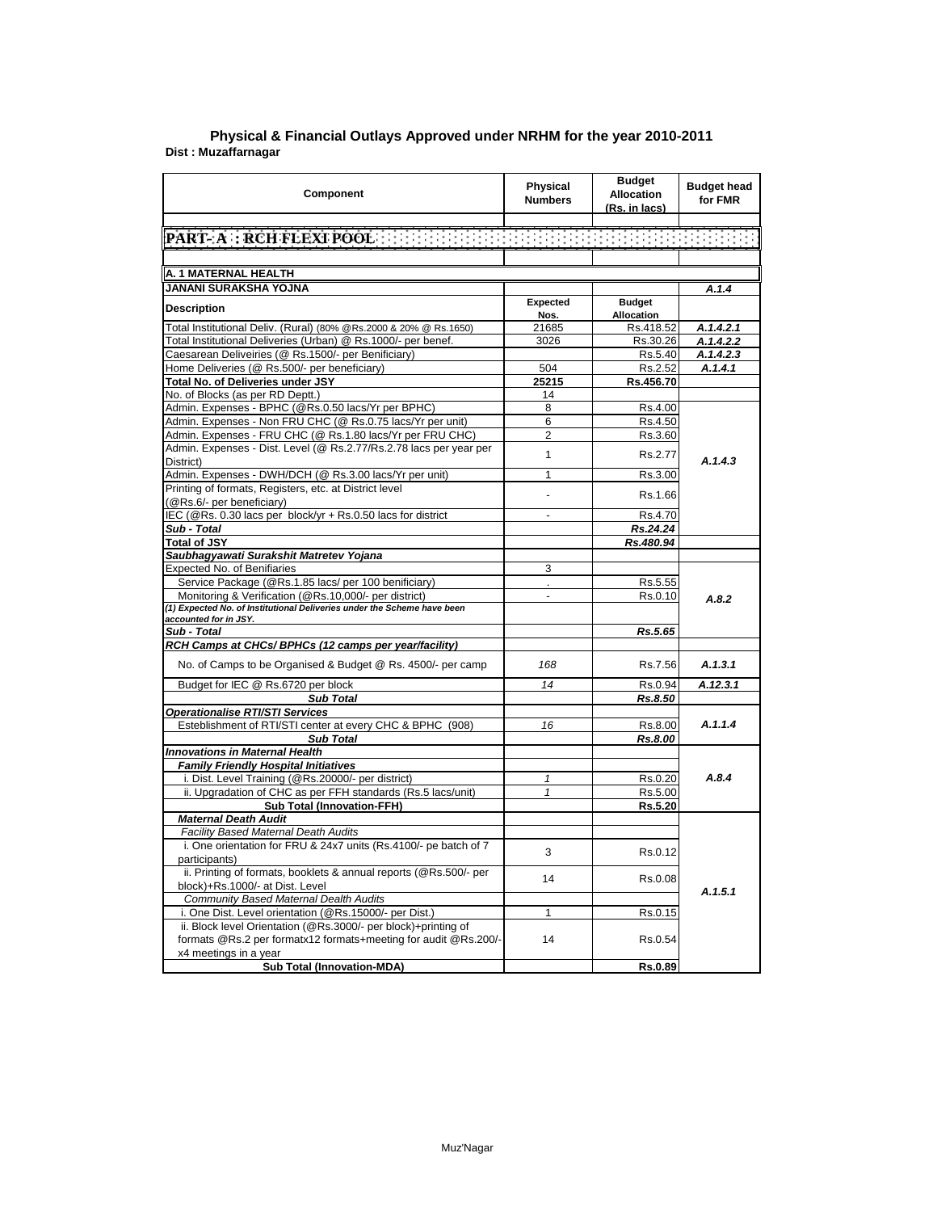| Component                                                               | <b>Physical</b><br><b>Numbers</b> | <b>Budget</b><br><b>Allocation</b><br>(Rs. in lacs) | <b>Budget head</b><br>for FMR |
|-------------------------------------------------------------------------|-----------------------------------|-----------------------------------------------------|-------------------------------|
|                                                                         |                                   |                                                     |                               |
|                                                                         |                                   |                                                     |                               |
|                                                                         |                                   |                                                     |                               |
| A. 1 MATERNAL HEALTH                                                    |                                   |                                                     |                               |
| JANANI SURAKSHA YOJNA                                                   |                                   |                                                     | A.1.4                         |
|                                                                         | Expected                          | <b>Budget</b>                                       |                               |
| <b>Description</b>                                                      | Nos.                              | Allocation                                          |                               |
| Total Institutional Deliv. (Rural) (80% @Rs.2000 & 20% @ Rs.1650)       | 21685                             | Rs.418.52                                           | A.1.4.2.1                     |
| Total Institutional Deliveries (Urban) @ Rs.1000/- per benef.           | 3026                              | Rs.30.26                                            | A.1.4.2.2                     |
| Caesarean Deliveiries (@ Rs.1500/- per Benificiary)                     |                                   | Rs.5.40                                             | A.1.4.2.3                     |
| Home Deliveries (@ Rs.500/- per beneficiary)                            | 504                               | Rs.2.52                                             | A.1.4.1                       |
| Total No. of Deliveries under JSY                                       | 25215                             | Rs.456.70                                           |                               |
| No. of Blocks (as per RD Deptt.)                                        | 14                                |                                                     |                               |
| Admin. Expenses - BPHC (@Rs.0.50 lacs/Yr per BPHC)                      | 8                                 | Rs.4.00                                             |                               |
| Admin. Expenses - Non FRU CHC (@ Rs.0.75 lacs/Yr per unit)              | 6                                 | Rs.4.50                                             |                               |
| Admin. Expenses - FRU CHC (@ Rs.1.80 lacs/Yr per FRU CHC)               | $\overline{2}$                    | Rs.3.60                                             |                               |
| Admin. Expenses - Dist. Level (@ Rs.2.77/Rs.2.78 lacs per year per      |                                   |                                                     |                               |
| District)                                                               | $\mathbf{1}$                      | Rs.2.77                                             | A.1.4.3                       |
| Admin. Expenses - DWH/DCH (@ Rs.3.00 lacs/Yr per unit)                  | 1                                 | Rs.3.00                                             |                               |
| Printing of formats, Registers, etc. at District level                  |                                   |                                                     |                               |
| (@Rs.6/- per beneficiary)                                               |                                   | Rs.1.66                                             |                               |
| IEC (@Rs. 0.30 lacs per block/yr + Rs.0.50 lacs for district            | $\overline{\phantom{a}}$          | Rs.4.70                                             |                               |
| Sub - Total                                                             |                                   | Rs.24.24                                            |                               |
| <b>Total of JSY</b>                                                     |                                   | Rs.480.94                                           |                               |
| Saubhagyawati Surakshit Matretev Yojana                                 |                                   |                                                     |                               |
| Expected No. of Benifiaries                                             | 3                                 |                                                     |                               |
| Service Package (@Rs.1.85 lacs/ per 100 benificiary)                    |                                   | Rs.5.55                                             |                               |
| Monitoring & Verification (@Rs.10,000/- per district)                   | $\overline{\phantom{a}}$          | Rs.0.10                                             | A.8.2                         |
| (1) Expected No. of Institutional Deliveries under the Scheme have been |                                   |                                                     |                               |
| accounted for in JSY.                                                   |                                   |                                                     |                               |
| Sub - Total                                                             |                                   | Rs.5.65                                             |                               |
| RCH Camps at CHCs/ BPHCs (12 camps per year/facility)                   |                                   |                                                     |                               |
| No. of Camps to be Organised & Budget @ Rs. 4500/- per camp             | 168                               | Rs.7.56                                             | A.1.3.1                       |
| Budget for IEC @ Rs.6720 per block                                      | 14                                | Rs.0.94                                             | A.12.3.1                      |
| <b>Sub Total</b>                                                        |                                   | <b>Rs.8.50</b>                                      |                               |
| <b>Operationalise RTI/STI Services</b>                                  |                                   |                                                     |                               |
| Esteblishment of RTI/STI center at every CHC & BPHC (908)               | 16                                | Rs.8.00                                             | A.1.1.4                       |
| <b>Sub Total</b>                                                        |                                   | Rs.8.00                                             |                               |
| <b>Innovations in Maternal Health</b>                                   |                                   |                                                     |                               |
| <b>Family Friendly Hospital Initiatives</b>                             |                                   |                                                     |                               |
| i. Dist. Level Training (@Rs.20000/- per district)                      | 1                                 | Rs.0.20                                             | A.8.4                         |
| ii. Upgradation of CHC as per FFH standards (Rs.5 lacs/unit)            | $\mathbf{1}$                      | Rs.5.00                                             |                               |
| <b>Sub Total (Innovation-FFH)</b>                                       |                                   | Rs.5.20                                             |                               |
| <b>Maternal Death Audit</b>                                             |                                   |                                                     |                               |
| Facility Based Maternal Death Audits                                    |                                   |                                                     |                               |
| i. One orientation for FRU & 24x7 units (Rs.4100/- pe batch of 7        | 3                                 | Rs.0.12                                             |                               |
| participants)                                                           |                                   |                                                     |                               |
| ii. Printing of formats, booklets & annual reports (@Rs.500/- per       | 14                                | Rs.0.08                                             |                               |
| block)+Rs.1000/- at Dist. Level                                         |                                   |                                                     | A.1.5.1                       |
| <b>Community Based Maternal Dealth Audits</b>                           |                                   |                                                     |                               |
| i. One Dist. Level orientation (@Rs.15000/- per Dist.)                  | 1                                 | Rs.0.15                                             |                               |
| ii. Block level Orientation (@Rs.3000/- per block)+printing of          |                                   |                                                     |                               |
| formats @Rs.2 per formatx12 formats+meeting for audit @Rs.200/-         | 14                                | Rs.0.54                                             |                               |
| x4 meetings in a year                                                   |                                   |                                                     |                               |
| <b>Sub Total (Innovation-MDA)</b>                                       |                                   | Rs.0.89                                             |                               |

**Dist : Muzaffarnagar Physical & Financial Outlays Approved under NRHM for the year 2010-2011**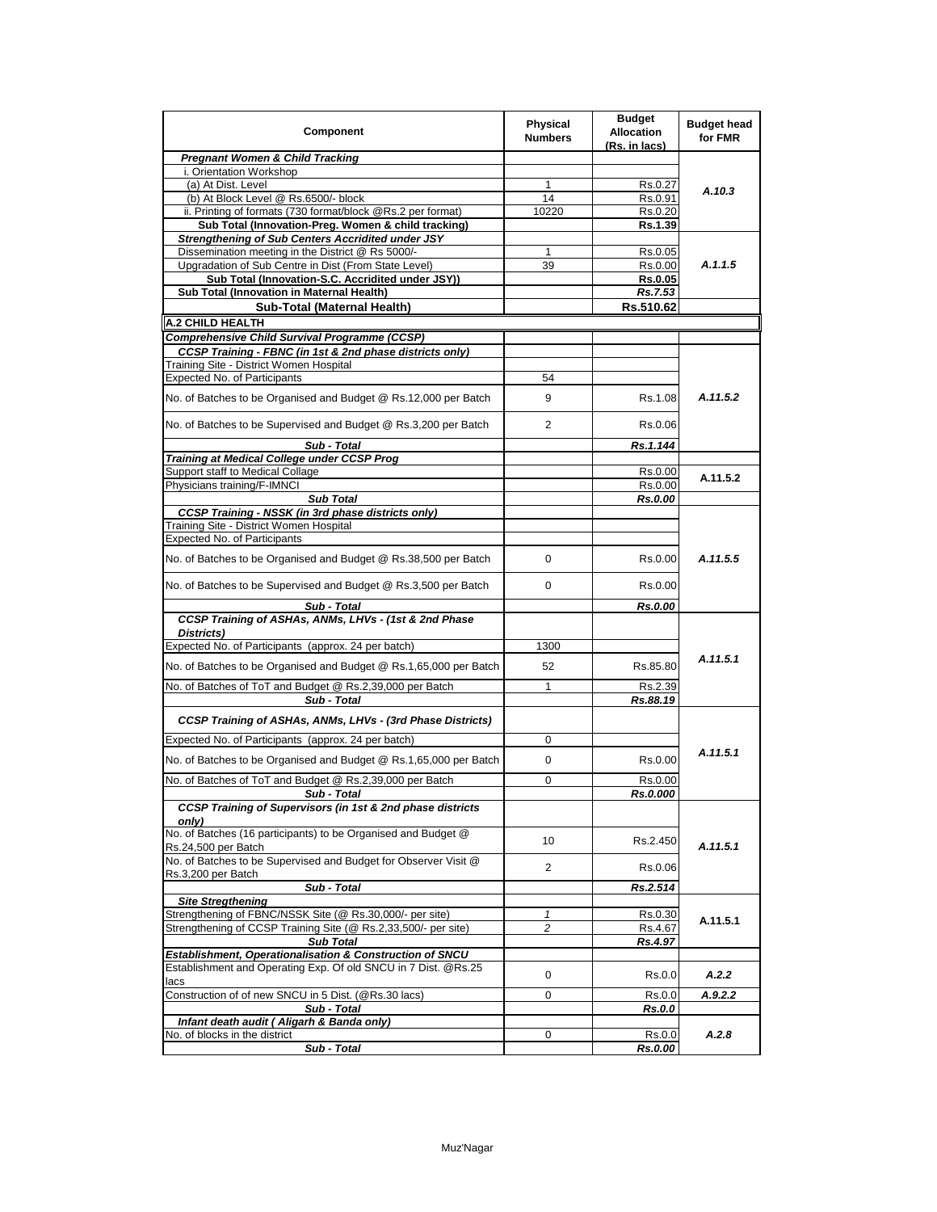| Component                                                                              | <b>Physical</b><br><b>Numbers</b> | <b>Budget</b><br><b>Allocation</b><br>(Rs. in lacs) | <b>Budget head</b><br>for FMR |
|----------------------------------------------------------------------------------------|-----------------------------------|-----------------------------------------------------|-------------------------------|
| <b>Pregnant Women &amp; Child Tracking</b>                                             |                                   |                                                     |                               |
| i. Orientation Workshop                                                                |                                   |                                                     |                               |
| (a) At Dist. Level                                                                     | 1                                 | Rs.0.27                                             | A.10.3                        |
| (b) At Block Level @ Rs.6500/- block                                                   | 14                                | Rs.0.91                                             |                               |
| ii. Printing of formats (730 format/block @Rs.2 per format)                            | 10220                             | Rs.0.20                                             |                               |
| Sub Total (Innovation-Preg. Women & child tracking)                                    |                                   | Rs.1.39                                             |                               |
| <b>Strengthening of Sub Centers Accridited under JSY</b>                               |                                   |                                                     |                               |
| Dissemination meeting in the District @ Rs 5000/-                                      | 1                                 | Rs.0.05                                             |                               |
| Upgradation of Sub Centre in Dist (From State Level)                                   | 39                                | Rs.0.00                                             | A.1.1.5                       |
| Sub Total (Innovation-S.C. Accridited under JSY))                                      |                                   | <b>Rs.0.05</b>                                      |                               |
| Sub Total (Innovation in Maternal Health)                                              |                                   | Rs.7.53                                             |                               |
| Sub-Total (Maternal Health)                                                            |                                   | Rs.510.62                                           |                               |
| A.2 CHILD HEALTH                                                                       |                                   |                                                     |                               |
| Comprehensive Child Survival Programme (CCSP)                                          |                                   |                                                     |                               |
| CCSP Training - FBNC (in 1st & 2nd phase districts only)                               |                                   |                                                     |                               |
| Training Site - District Women Hospital                                                |                                   |                                                     |                               |
| <b>Expected No. of Participants</b>                                                    | 54                                |                                                     |                               |
| No. of Batches to be Organised and Budget @ Rs.12,000 per Batch                        | 9                                 | Rs.1.08                                             | A.11.5.2                      |
| No. of Batches to be Supervised and Budget @ Rs.3,200 per Batch                        | $\overline{2}$                    | Rs 0.06                                             |                               |
| Sub - Total                                                                            |                                   | Rs.1.144                                            |                               |
| Training at Medical College under CCSP Prog                                            |                                   |                                                     |                               |
| Support staff to Medical Collage                                                       |                                   | Rs.0.00                                             | A.11.5.2                      |
| Physicians training/F-IMNCI                                                            |                                   | Rs.0.00                                             |                               |
| <b>Sub Total</b>                                                                       |                                   | Rs.0.00                                             |                               |
| <b>CCSP Training - NSSK (in 3rd phase districts only)</b>                              |                                   |                                                     |                               |
| Training Site - District Women Hospital                                                |                                   |                                                     |                               |
| <b>Expected No. of Participants</b>                                                    |                                   |                                                     |                               |
| No. of Batches to be Organised and Budget @ Rs.38,500 per Batch                        | 0                                 | Rs 0.00                                             | A.11.5.5                      |
| No. of Batches to be Supervised and Budget @ Rs.3,500 per Batch                        | 0                                 | Rs.0.00                                             |                               |
| Sub - Total                                                                            |                                   | <b>Rs.0.00</b>                                      |                               |
| CCSP Training of ASHAs, ANMs, LHVs - (1st & 2nd Phase<br>Districts)                    |                                   |                                                     |                               |
| Expected No. of Participants (approx. 24 per batch)                                    | 1300                              |                                                     |                               |
|                                                                                        |                                   |                                                     | A.11.5.1                      |
| No. of Batches to be Organised and Budget @ Rs.1,65,000 per Batch                      | 52                                | Rs.85.80                                            |                               |
| No. of Batches of ToT and Budget @ Rs.2,39,000 per Batch                               | 1                                 | Rs.2.39                                             |                               |
| Sub - Total                                                                            |                                   | Rs.88.19                                            |                               |
| <b>CCSP Training of ASHAs, ANMs, LHVs - (3rd Phase Districts)</b>                      |                                   |                                                     |                               |
| Expected No. of Participants (approx. 24 per batch)                                    | 0                                 |                                                     |                               |
| No. of Batches to be Organised and Budget @ Rs.1,65,000 per Batch                      | 0                                 | Rs 0.00                                             | A.11.5.1                      |
| No. of Batches of ToT and Budget @ Rs.2,39,000 per Batch                               | 0                                 | Rs.0.00                                             |                               |
| Sub - Total                                                                            |                                   | <b>Rs.0.000</b>                                     |                               |
| CCSP Training of Supervisors (in 1st & 2nd phase districts<br>onlv)                    |                                   |                                                     |                               |
| No. of Batches (16 participants) to be Organised and Budget @                          | 10                                | Rs.2.450                                            | A.11.5.1                      |
| Rs.24,500 per Batch<br>No. of Batches to be Supervised and Budget for Observer Visit @ | 2                                 | Rs.0.06                                             |                               |
| Rs.3,200 per Batch<br>Sub - Total                                                      |                                   | Rs.2.514                                            |                               |
| <b>Site Stregthening</b>                                                               |                                   |                                                     |                               |
| Strengthening of FBNC/NSSK Site (@ Rs.30,000/- per site)                               | 1                                 | Rs.0.30                                             |                               |
| Strengthening of CCSP Training Site (@ Rs.2,33,500/- per site)                         | 2                                 | Rs.4.67                                             | A.11.5.1                      |
| <b>Sub Total</b>                                                                       |                                   | Rs.4.97                                             |                               |
| Establishment, Operationalisation & Construction of SNCU                               |                                   |                                                     |                               |
| Establishment and Operating Exp. Of old SNCU in 7 Dist. @Rs.25<br>lacs                 | 0                                 | Rs.0.0                                              | A.2.2                         |
| Construction of of new SNCU in 5 Dist. (@Rs.30 lacs)                                   | 0                                 | Rs.0.0                                              | A.9.2.2                       |
| Sub - Total                                                                            |                                   | Rs.0.0                                              |                               |
| Infant death audit (Aligarh & Banda only)                                              |                                   |                                                     |                               |
| No. of blocks in the district                                                          | 0                                 | Rs.0.0                                              | A.2.8                         |
| Sub - Total                                                                            |                                   | Rs.0.00                                             |                               |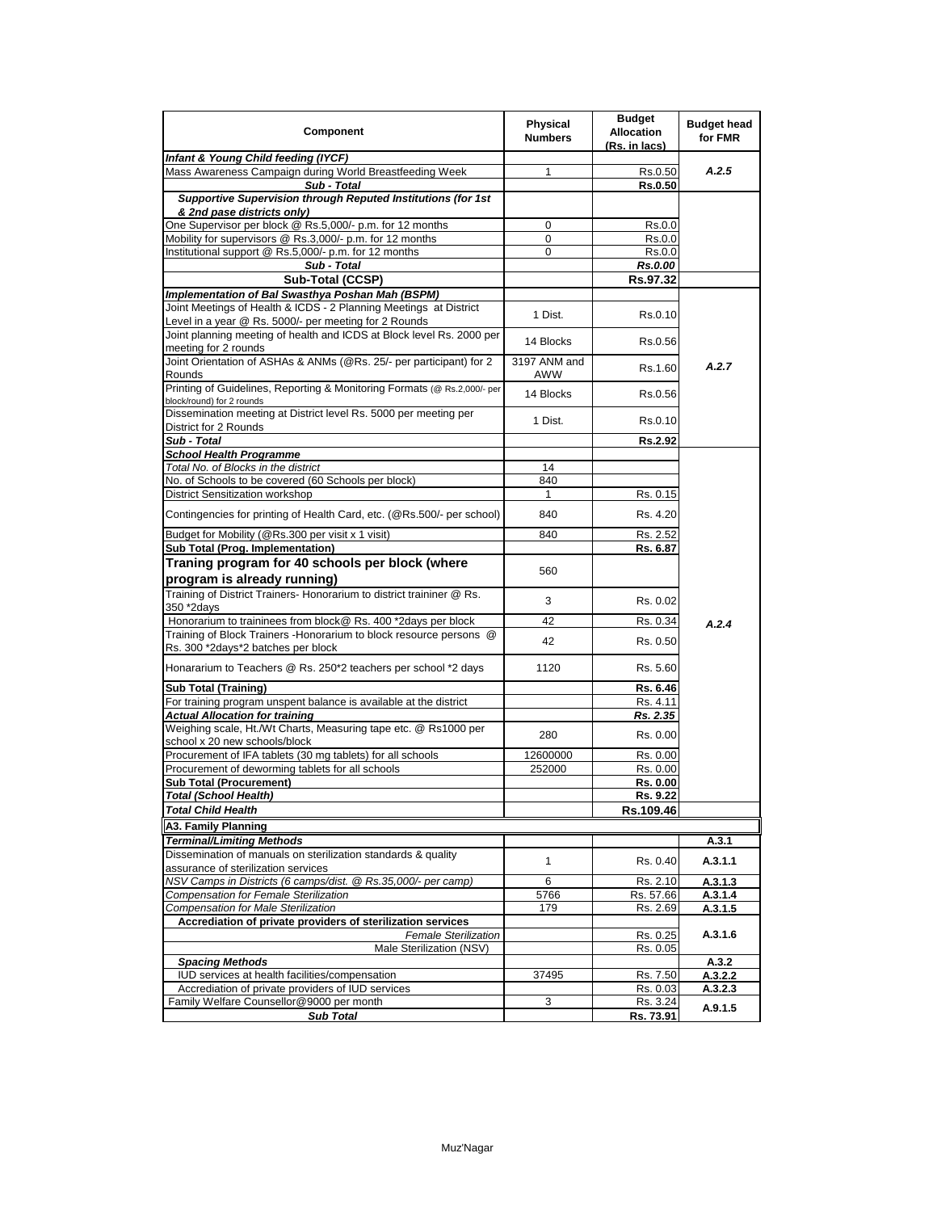| Component                                                                                                  | <b>Physical</b><br><b>Numbers</b> | <b>Budget</b><br><b>Allocation</b><br>(Rs. in lacs) | <b>Budget head</b><br>for FMR |
|------------------------------------------------------------------------------------------------------------|-----------------------------------|-----------------------------------------------------|-------------------------------|
| Infant & Young Child feeding (IYCF)                                                                        |                                   |                                                     |                               |
| Mass Awareness Campaign during World Breastfeeding Week                                                    | 1                                 | Rs 0.50                                             | A.2.5                         |
| Sub - Total                                                                                                |                                   | <b>Rs.0.50</b>                                      |                               |
| Supportive Supervision through Reputed Institutions (for 1st                                               |                                   |                                                     |                               |
| & 2nd pase districts only)                                                                                 |                                   |                                                     |                               |
| One Supervisor per block @ Rs.5,000/- p.m. for 12 months                                                   | 0                                 | Rs.0.0                                              |                               |
| Mobility for supervisors @ Rs.3,000/- p.m. for 12 months                                                   | 0                                 | Rs.0.0                                              |                               |
| Institutional support @ Rs.5,000/- p.m. for 12 months                                                      | 0                                 | Rs.0.0                                              |                               |
| Sub - Total                                                                                                |                                   | <b>Rs.0.00</b>                                      |                               |
| Sub-Total (CCSP)                                                                                           |                                   | Rs.97.32                                            |                               |
| Implementation of Bal Swasthya Poshan Mah (BSPM)                                                           |                                   |                                                     |                               |
| Joint Meetings of Health & ICDS - 2 Planning Meetings at District                                          | 1 Dist.                           | Rs 0.10                                             |                               |
| Level in a year @ Rs. 5000/- per meeting for 2 Rounds                                                      |                                   |                                                     |                               |
| Joint planning meeting of health and ICDS at Block level Rs. 2000 per                                      | 14 Blocks                         | Rs.0.56                                             |                               |
| meeting for 2 rounds                                                                                       |                                   |                                                     |                               |
| Joint Orientation of ASHAs & ANMs (@Rs. 25/- per participant) for 2<br>Rounds                              | 3197 ANM and<br>AWW               | Rs.1.60                                             | A.2.7                         |
| Printing of Guidelines, Reporting & Monitoring Formats (@ Rs.2,000/- per<br>block/round) for 2 rounds      | 14 Blocks                         | Rs 0.56                                             |                               |
| Dissemination meeting at District level Rs. 5000 per meeting per                                           | 1 Dist.                           | Rs.0.10                                             |                               |
| District for 2 Rounds                                                                                      |                                   |                                                     |                               |
| Sub - Total                                                                                                |                                   | <b>Rs.2.92</b>                                      |                               |
| <b>School Health Programme</b><br>Total No. of Blocks in the district                                      |                                   |                                                     |                               |
| No. of Schools to be covered (60 Schools per block)                                                        | 14<br>840                         |                                                     |                               |
|                                                                                                            |                                   |                                                     |                               |
| District Sensitization workshop                                                                            | 840                               | Rs. 0.15                                            |                               |
| Contingencies for printing of Health Card, etc. (@Rs.500/- per school)                                     |                                   | Rs. 4.20                                            |                               |
| Budget for Mobility (@Rs.300 per visit x 1 visit)                                                          | 840                               | Rs. 2.52                                            |                               |
| Sub Total (Prog. Implementation)                                                                           |                                   | Rs. 6.87                                            |                               |
| Traning program for 40 schools per block (where                                                            |                                   |                                                     |                               |
| program is already running)                                                                                | 560                               |                                                     |                               |
| Training of District Trainers- Honorarium to district traininer @ Rs.                                      |                                   |                                                     |                               |
| 350 *2days                                                                                                 | 3                                 | Rs 0.02                                             |                               |
| Honorarium to traininees from block@ Rs. 400 *2days per block                                              | 42                                | Rs. 0.34                                            | A.2.4                         |
| Training of Block Trainers - Honorarium to block resource persons @                                        |                                   |                                                     |                               |
| Rs. 300 *2days*2 batches per block                                                                         | 42                                | Rs. 0.50                                            |                               |
| Honararium to Teachers @ Rs. 250*2 teachers per school *2 days                                             | 1120                              | Rs. 5.60                                            |                               |
|                                                                                                            |                                   |                                                     |                               |
| <b>Sub Total (Training)</b>                                                                                |                                   | Rs. 6.46                                            |                               |
| For training program unspent balance is available at the district<br><b>Actual Allocation for training</b> |                                   | Rs. 4.11                                            |                               |
| Weighing scale, Ht./Wt Charts, Measuring tape etc. @ Rs1000 per                                            |                                   | Rs. 2.35                                            |                               |
| school x 20 new schools/block                                                                              | 280                               | Rs. 0.00                                            |                               |
| Procurement of IFA tablets (30 mg tablets) for all schools                                                 | 12600000                          | Rs. 0.00                                            |                               |
| Procurement of deworming tablets for all schools                                                           | 252000                            | Rs. 0.00                                            |                               |
| <b>Sub Total (Procurement)</b>                                                                             |                                   | Rs. 0.00                                            |                               |
| Total (School Health)                                                                                      |                                   | Rs. 9.22                                            |                               |
| <b>Total Child Health</b>                                                                                  |                                   | Rs.109.46                                           |                               |
|                                                                                                            |                                   |                                                     |                               |
| A3. Family Planning                                                                                        |                                   |                                                     | A.3.1                         |
| Terminal/Limiting Methods<br>Dissemination of manuals on sterilization standards & quality                 |                                   |                                                     |                               |
| assurance of sterilization services                                                                        | 1                                 | Rs. 0.40                                            | A.3.1.1                       |
| NSV Camps in Districts (6 camps/dist. @ Rs.35,000/- per camp)                                              |                                   |                                                     |                               |
| Compensation for Female Sterilization                                                                      | 6<br>5766                         | Rs. 2.10<br>Rs. 57.66                               | A.3.1.3<br>A.3.1.4            |
| <b>Compensation for Male Sterilization</b>                                                                 | 179                               | Rs. 2.69                                            | A.3.1.5                       |
| Accrediation of private providers of sterilization services                                                |                                   |                                                     |                               |
| <b>Female Sterilization</b>                                                                                |                                   | Rs. 0.25                                            | A.3.1.6                       |
| Male Sterilization (NSV)                                                                                   |                                   | Rs. 0.05                                            |                               |
| <b>Spacing Methods</b>                                                                                     |                                   |                                                     | A.3.2                         |
| IUD services at health facilities/compensation                                                             | 37495                             | Rs. 7.50                                            | A.3.2.2                       |
| Accrediation of private providers of IUD services                                                          |                                   | Rs. 0.03                                            | A.3.2.3                       |
| Family Welfare Counsellor@9000 per month                                                                   | 3                                 | Rs. 3.24                                            |                               |
| <b>Sub Total</b>                                                                                           |                                   | Rs. 73.91                                           | A.9.1.5                       |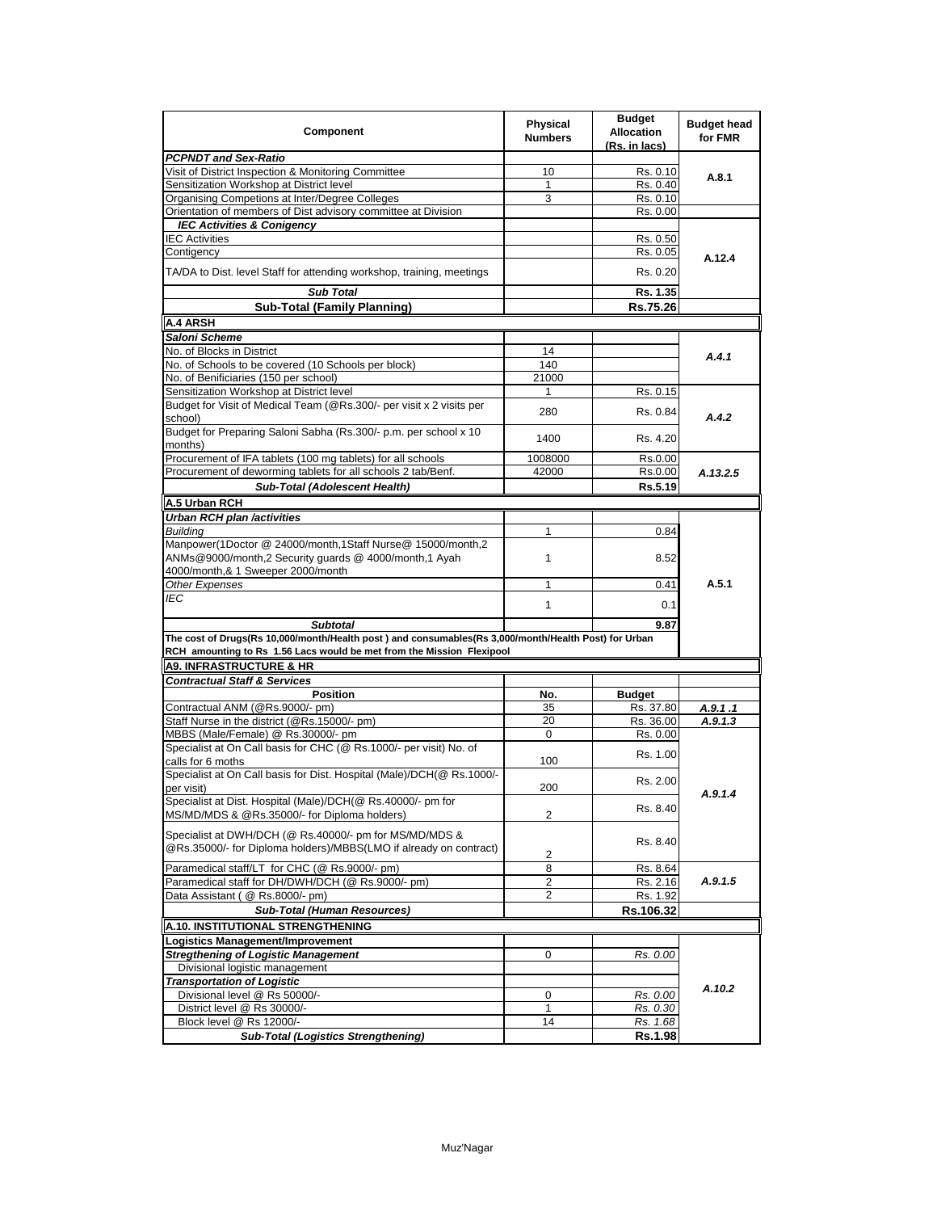| Component                                                                                                                                                                     | <b>Physical</b><br><b>Numbers</b> | <b>Budget</b><br><b>Allocation</b><br>(Rs. in lacs) | <b>Budget head</b><br>for FMR |
|-------------------------------------------------------------------------------------------------------------------------------------------------------------------------------|-----------------------------------|-----------------------------------------------------|-------------------------------|
| <b>PCPNDT and Sex-Ratio</b>                                                                                                                                                   |                                   |                                                     |                               |
| Visit of District Inspection & Monitoring Committee                                                                                                                           | 10                                | Rs. 0.10                                            | A.8.1                         |
| Sensitization Workshop at District level                                                                                                                                      | 1                                 | Rs. 0.40                                            |                               |
| Organising Competions at Inter/Degree Colleges                                                                                                                                | 3                                 | Rs. 0.10                                            |                               |
| Orientation of members of Dist advisory committee at Division                                                                                                                 |                                   | Rs. 0.00                                            |                               |
| <b>IEC Activities &amp; Conigency</b>                                                                                                                                         |                                   |                                                     |                               |
| <b>IEC Activities</b>                                                                                                                                                         |                                   | Rs. 0.50                                            |                               |
| Contigency                                                                                                                                                                    |                                   | Rs. 0.05                                            | A.12.4                        |
| TA/DA to Dist. level Staff for attending workshop, training, meetings                                                                                                         |                                   | Rs. 0.20                                            |                               |
| <b>Sub Total</b>                                                                                                                                                              |                                   | Rs. 1.35                                            |                               |
| <b>Sub-Total (Family Planning)</b>                                                                                                                                            |                                   | Rs.75.26                                            |                               |
| <b>A.4 ARSH</b>                                                                                                                                                               |                                   |                                                     |                               |
| Saloni Scheme                                                                                                                                                                 |                                   |                                                     |                               |
| No. of Blocks in District                                                                                                                                                     | 14                                |                                                     |                               |
| No. of Schools to be covered (10 Schools per block)                                                                                                                           | 140                               |                                                     | A.4.1                         |
| No. of Benificiaries (150 per school)                                                                                                                                         | 21000                             |                                                     |                               |
| Sensitization Workshop at District level                                                                                                                                      | $\mathbf{1}$                      | Rs. 0.15                                            |                               |
| Budget for Visit of Medical Team (@Rs.300/- per visit x 2 visits per                                                                                                          |                                   |                                                     |                               |
| school)                                                                                                                                                                       | 280                               | Rs. 0.84                                            | A.4.2                         |
| Budget for Preparing Saloni Sabha (Rs.300/- p.m. per school x 10<br>months)                                                                                                   | 1400                              | Rs. 4.20                                            |                               |
| Procurement of IFA tablets (100 mg tablets) for all schools                                                                                                                   | 1008000                           | Rs.0.00                                             |                               |
| Procurement of deworming tablets for all schools 2 tab/Benf.                                                                                                                  | 42000                             | Rs.0.00                                             | A.13.2.5                      |
| <b>Sub-Total (Adolescent Health)</b>                                                                                                                                          |                                   | Rs.5.19                                             |                               |
| A.5 Urban RCH                                                                                                                                                                 |                                   |                                                     |                               |
| <b>Urban RCH plan /activities</b>                                                                                                                                             |                                   |                                                     |                               |
| <b>Building</b>                                                                                                                                                               | 1                                 | 0.84                                                |                               |
| Manpower(1Doctor @ 24000/month,1Staff Nurse@ 15000/month,2<br>ANMs@9000/month,2 Security guards @ 4000/month,1 Ayah                                                           | 1                                 | 8.52                                                |                               |
| 4000/month,& 1 Sweeper 2000/month                                                                                                                                             |                                   |                                                     |                               |
| Other Expenses                                                                                                                                                                | $\mathbf{1}$                      | 0.41                                                | A.5.1                         |
| IEC                                                                                                                                                                           | 1                                 | 0.1                                                 |                               |
| <b>Subtotal</b>                                                                                                                                                               |                                   | 9.87                                                |                               |
| The cost of Drugs(Rs 10,000/month/Health post) and consumables(Rs 3,000/month/Health Post) for Urban<br>RCH amounting to Rs 1.56 Lacs would be met from the Mission Flexipool |                                   |                                                     |                               |
| <b>A9. INFRASTRUCTURE &amp; HR</b>                                                                                                                                            |                                   |                                                     |                               |
| <b>Contractual Staff &amp; Services</b>                                                                                                                                       |                                   |                                                     |                               |
| <b>Position</b>                                                                                                                                                               | No.                               | <b>Budget</b>                                       |                               |
| Contractual ANM (@Rs.9000/- pm)                                                                                                                                               | 35                                | Rs. 37.80                                           | A.9.1.1                       |
| Staff Nurse in the district (@Rs.15000/- pm)                                                                                                                                  | 20                                | Rs. 36.00                                           | A.9.1.3                       |
| MBBS (Male/Female) @ Rs.30000/- pm                                                                                                                                            | 0                                 | Rs. 0.00                                            |                               |
| Specialist at On Call basis for CHC (@ Rs.1000/- per visit) No. of<br>calls for 6 moths                                                                                       | 100                               | Rs. 1.00                                            |                               |
| Specialist at On Call basis for Dist. Hospital (Male)/DCH(@ Rs.1000/-                                                                                                         |                                   |                                                     |                               |
| per visit)                                                                                                                                                                    | 200                               | Rs. 2.00                                            | A.9.1.4                       |
| Specialist at Dist. Hospital (Male)/DCH(@ Rs.40000/- pm for<br>MS/MD/MDS & @Rs.35000/- for Diploma holders)                                                                   | 2                                 | Rs. 8.40                                            |                               |
| Specialist at DWH/DCH (@ Rs.40000/- pm for MS/MD/MDS &<br>@Rs.35000/- for Diploma holders)/MBBS(LMO if already on contract)                                                   | 2                                 | Rs. 8.40                                            |                               |
| Paramedical staff/LT for CHC (@ Rs.9000/- pm)                                                                                                                                 | 8                                 | Rs. 8.64                                            |                               |
| Paramedical staff for DH/DWH/DCH (@ Rs.9000/- pm)                                                                                                                             | 2                                 | Rs. 2.16                                            | A.9.1.5                       |
| Data Assistant (@ Rs.8000/- pm)                                                                                                                                               | $\overline{2}$                    | Rs. 1.92                                            |                               |
| <b>Sub-Total (Human Resources)</b>                                                                                                                                            |                                   | Rs.106.32                                           |                               |
| A.10. INSTITUTIONAL STRENGTHENING                                                                                                                                             |                                   |                                                     |                               |
| <b>Logistics Management/Improvement</b>                                                                                                                                       |                                   |                                                     |                               |
| <b>Stregthening of Logistic Management</b>                                                                                                                                    | 0                                 | Rs. 0.00                                            |                               |
| Divisional logistic management                                                                                                                                                |                                   |                                                     |                               |
| <b>Transportation of Logistic</b>                                                                                                                                             |                                   |                                                     |                               |
| Divisional level @ Rs 50000/-                                                                                                                                                 | 0                                 | Rs. 0.00                                            | A.10.2                        |
| District level @ Rs 30000/-                                                                                                                                                   | 1                                 | Rs. 0.30                                            |                               |
| Block level @ Rs 12000/-                                                                                                                                                      | 14                                | Rs. 1.68                                            |                               |
| <b>Sub-Total (Logistics Strengthening)</b>                                                                                                                                    |                                   | <b>Rs.1.98</b>                                      |                               |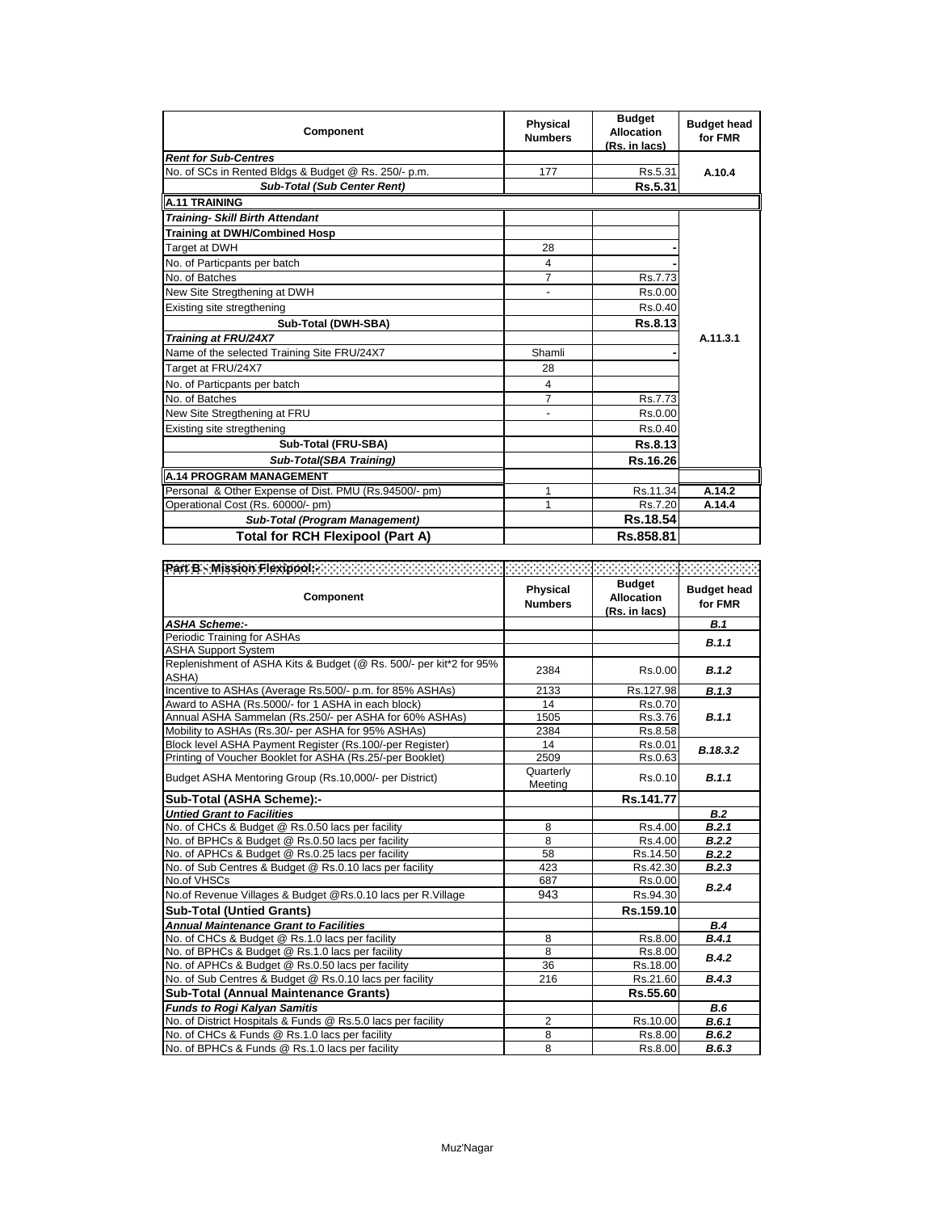| Component                                             | <b>Physical</b><br><b>Numbers</b> | <b>Budget</b><br><b>Allocation</b><br>(Rs. in lacs) | <b>Budget head</b><br>for FMR |
|-------------------------------------------------------|-----------------------------------|-----------------------------------------------------|-------------------------------|
| <b>Rent for Sub-Centres</b>                           |                                   |                                                     |                               |
| No. of SCs in Rented Bldgs & Budget @ Rs. 250/- p.m.  | 177                               | Rs.5.31                                             | A.10.4                        |
| <b>Sub-Total (Sub Center Rent)</b>                    |                                   | Rs.5.31                                             |                               |
| <b>A.11 TRAINING</b>                                  |                                   |                                                     |                               |
| <b>Training- Skill Birth Attendant</b>                |                                   |                                                     |                               |
| <b>Training at DWH/Combined Hosp</b>                  |                                   |                                                     |                               |
| Target at DWH                                         | 28                                |                                                     |                               |
| No. of Particpants per batch                          | 4                                 |                                                     |                               |
| No. of Batches                                        | 7                                 | Rs.7.73                                             |                               |
| New Site Stregthening at DWH                          | $\overline{\phantom{a}}$          | Rs.0.00                                             |                               |
| Existing site stregthening                            |                                   | Rs.0.40                                             |                               |
| Sub-Total (DWH-SBA)                                   |                                   | Rs.8.13                                             |                               |
| <b>Training at FRU/24X7</b>                           |                                   |                                                     | A.11.3.1                      |
| Name of the selected Training Site FRU/24X7           | Shamli                            |                                                     |                               |
| Target at FRU/24X7                                    | 28                                |                                                     |                               |
| No. of Particpants per batch                          | 4                                 |                                                     |                               |
| No. of Batches                                        | 7                                 | Rs.7.73                                             |                               |
| New Site Stregthening at FRU                          | $\blacksquare$                    | Rs.0.00                                             |                               |
| Existing site stregthening                            |                                   | Rs.0.40                                             |                               |
| Sub-Total (FRU-SBA)                                   |                                   | Rs.8.13                                             |                               |
| Sub-Total(SBA Training)                               |                                   | Rs.16.26                                            |                               |
| <b>A.14 PROGRAM MANAGEMENT</b>                        |                                   |                                                     |                               |
| Personal & Other Expense of Dist. PMU (Rs.94500/- pm) | 1                                 | Rs.11.34                                            | A.14.2                        |
| Operational Cost (Rs. 60000/- pm)                     | 1                                 | Rs.7.20                                             | A.14.4                        |
| <b>Sub-Total (Program Management)</b>                 |                                   | Rs.18.54                                            |                               |
| <b>Total for RCH Flexipool (Part A)</b>               |                                   | Rs.858.81                                           |                               |

| Component                                                                   | <b>Physical</b><br><b>Numbers</b> | <b>Budget</b><br>Allocation<br>(Rs. in lacs) | <b>Budget head</b><br>for FMR |
|-----------------------------------------------------------------------------|-----------------------------------|----------------------------------------------|-------------------------------|
| <b>ASHA Scheme:-</b>                                                        |                                   |                                              | B.1                           |
| Periodic Training for ASHAs                                                 |                                   |                                              | B.1.1                         |
| <b>ASHA Support System</b>                                                  |                                   |                                              |                               |
| Replenishment of ASHA Kits & Budget (@ Rs. 500/- per kit*2 for 95%<br>ASHA) | 2384                              | Rs.0.00                                      | B.1.2                         |
| Incentive to ASHAs (Average Rs.500/- p.m. for 85% ASHAs)                    | 2133                              | Rs.127.98                                    | B.1.3                         |
| Award to ASHA (Rs.5000/- for 1 ASHA in each block)                          | 14                                | Rs.0.70                                      |                               |
| Annual ASHA Sammelan (Rs.250/- per ASHA for 60% ASHAs)                      | 1505                              | Rs.3.76                                      | B.1.1                         |
| Mobility to ASHAs (Rs.30/- per ASHA for 95% ASHAs)                          | 2384                              | Rs.8.58                                      |                               |
| Block level ASHA Payment Register (Rs.100/-per Register)                    | 14                                | Rs.0.01                                      | B.18.3.2                      |
| Printing of Voucher Booklet for ASHA (Rs.25/-per Booklet)                   | 2509                              | Rs.0.63                                      |                               |
| Budget ASHA Mentoring Group (Rs.10,000/- per District)                      | Quarterly<br>Meeting              | Rs.0.10                                      | B.1.1                         |
| Sub-Total (ASHA Scheme):-                                                   |                                   | Rs.141.77                                    |                               |
| <b>Untied Grant to Facilities</b>                                           |                                   |                                              | B.2                           |
| No. of CHCs & Budget @ Rs.0.50 lacs per facility                            | 8                                 | Rs.4.00                                      | B.2.1                         |
| No. of BPHCs & Budget @ Rs.0.50 lacs per facility                           | 8                                 | Rs.4.00                                      | B.2.2                         |
| No. of APHCs & Budget @ Rs.0.25 lacs per facility                           | 58                                | Rs.14.50                                     | B.2.2                         |
| No. of Sub Centres & Budget @ Rs.0.10 lacs per facility                     | 423                               | Rs.42.30                                     | B.2.3                         |
| No.of VHSCs                                                                 | 687                               | Rs.0.00                                      | B.2.4                         |
| No.of Revenue Villages & Budget @Rs.0.10 lacs per R.Village                 | 943                               | Rs.94.30                                     |                               |
| <b>Sub-Total (Untied Grants)</b>                                            |                                   | Rs.159.10                                    |                               |
| <b>Annual Maintenance Grant to Facilities</b>                               |                                   |                                              | B.4                           |
| No. of CHCs & Budget @ Rs.1.0 lacs per facility                             | 8                                 | Rs.8.00                                      | B.4.1                         |
| No. of BPHCs & Budget @ Rs.1.0 lacs per facility                            | 8                                 | Rs.8.00                                      | B.4.2                         |
| No. of APHCs & Budget @ Rs.0.50 lacs per facility                           | 36                                | Rs.18.00                                     |                               |
| No. of Sub Centres & Budget @ Rs.0.10 lacs per facility                     | 216                               | Rs.21.60                                     | B.4.3                         |
| <b>Sub-Total (Annual Maintenance Grants)</b>                                |                                   | Rs.55.60                                     |                               |
| <b>Funds to Rogi Kalyan Samitis</b>                                         |                                   |                                              | B.6                           |
| No. of District Hospitals & Funds @ Rs.5.0 lacs per facility                | 2                                 | Rs.10.00                                     | B.6.1                         |
| No. of CHCs & Funds @ Rs.1.0 lacs per facility                              | 8                                 | Rs.8.00                                      | B.6.2                         |
| No. of BPHCs & Funds @ Rs.1.0 lacs per facility                             | 8                                 | Rs.8.00                                      | B.6.3                         |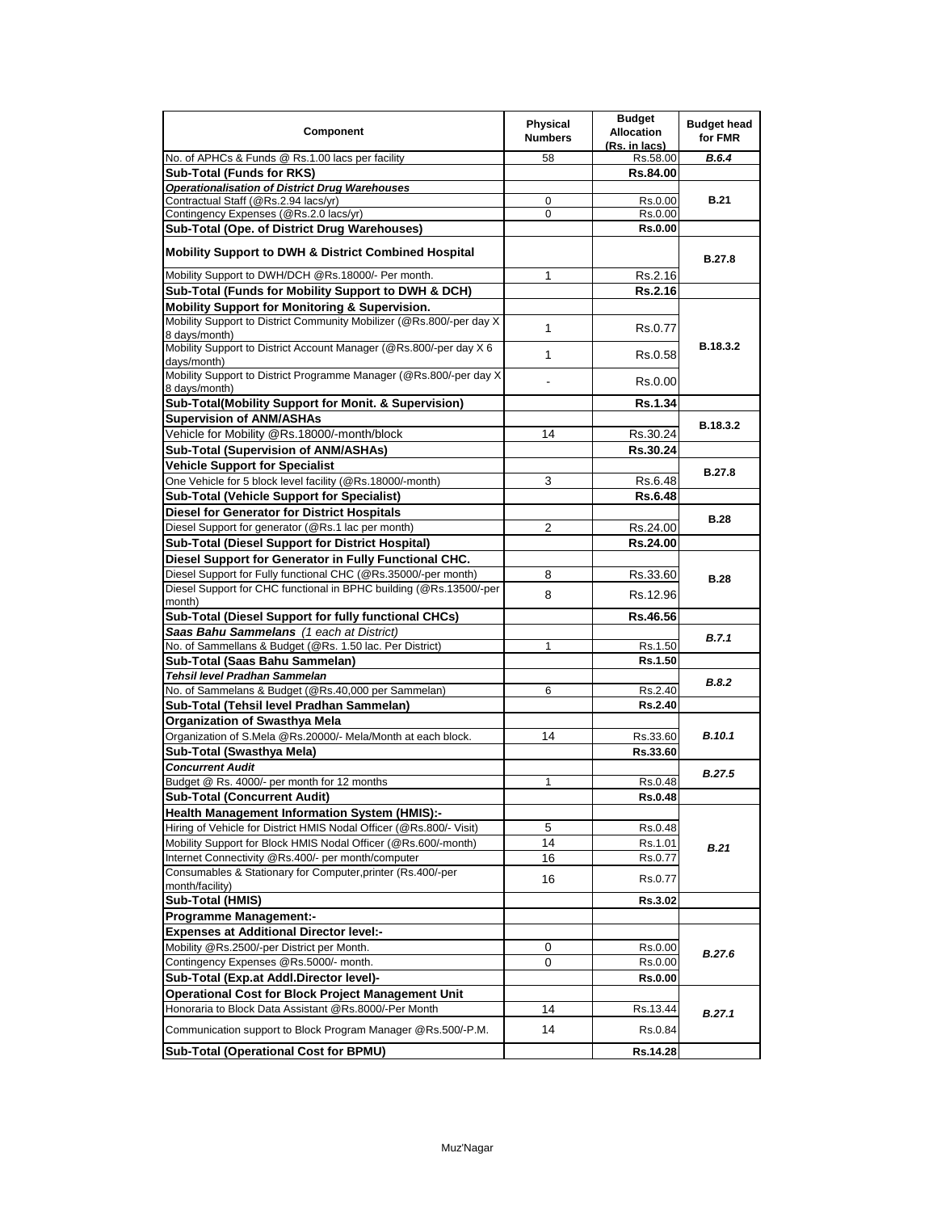| Component                                                                                                                   | <b>Physical</b><br><b>Numbers</b> | <b>Budget</b><br><b>Allocation</b><br>(Rs. in lacs) | <b>Budget head</b><br>for FMR |
|-----------------------------------------------------------------------------------------------------------------------------|-----------------------------------|-----------------------------------------------------|-------------------------------|
| No. of APHCs & Funds @ Rs.1.00 lacs per facility                                                                            | 58                                | Rs.58.00                                            | <b>B.6.4</b>                  |
| <b>Sub-Total (Funds for RKS)</b>                                                                                            |                                   | <b>Rs.84.00</b>                                     |                               |
| <b>Operationalisation of District Drug Warehouses</b>                                                                       |                                   |                                                     |                               |
| Contractual Staff (@Rs.2.94 lacs/yr)                                                                                        | 0                                 | Rs.0.00                                             | <b>B.21</b>                   |
| Contingency Expenses (@Rs.2.0 lacs/yr)                                                                                      | 0                                 | Rs.0.00                                             |                               |
| Sub-Total (Ope. of District Drug Warehouses)                                                                                |                                   | <b>Rs.0.00</b>                                      |                               |
| <b>Mobility Support to DWH &amp; District Combined Hospital</b>                                                             |                                   |                                                     | <b>B.27.8</b>                 |
| Mobility Support to DWH/DCH @Rs.18000/- Per month.                                                                          | 1                                 | Rs.2.16                                             |                               |
| Sub-Total (Funds for Mobility Support to DWH & DCH)                                                                         |                                   | Rs.2.16                                             |                               |
| <b>Mobility Support for Monitoring &amp; Supervision.</b>                                                                   |                                   |                                                     |                               |
| Mobility Support to District Community Mobilizer (@Rs.800/-per day X)<br>8 days/month)                                      | $\mathbf{1}$                      | Rs.0.77                                             |                               |
| Mobility Support to District Account Manager (@Rs.800/-per day X 6<br>days/month)                                           | 1                                 | Rs.0.58                                             | B.18.3.2                      |
| Mobility Support to District Programme Manager (@Rs.800/-per day X<br>8 days/month)                                         |                                   | Rs.0.00                                             |                               |
| Sub-Total(Mobility Support for Monit. & Supervision)                                                                        |                                   | <b>Rs.1.34</b>                                      |                               |
| <b>Supervision of ANM/ASHAs</b>                                                                                             |                                   |                                                     | B.18.3.2                      |
| Vehicle for Mobility @Rs.18000/-month/block                                                                                 | 14                                | Rs.30.24                                            |                               |
| Sub-Total (Supervision of ANM/ASHAs)                                                                                        |                                   | Rs.30.24                                            |                               |
| <b>Vehicle Support for Specialist</b>                                                                                       |                                   |                                                     |                               |
| One Vehicle for 5 block level facility (@Rs.18000/-month)                                                                   | 3                                 | Rs.6.48                                             | <b>B.27.8</b>                 |
| Sub-Total (Vehicle Support for Specialist)                                                                                  |                                   | <b>Rs.6.48</b>                                      |                               |
| Diesel for Generator for District Hospitals                                                                                 |                                   |                                                     |                               |
| Diesel Support for generator (@Rs.1 lac per month)                                                                          | 2                                 | Rs.24.00                                            | <b>B.28</b>                   |
| Sub-Total (Diesel Support for District Hospital)                                                                            |                                   | Rs.24.00                                            |                               |
| Diesel Support for Generator in Fully Functional CHC.                                                                       |                                   |                                                     |                               |
| Diesel Support for Fully functional CHC (@Rs.35000/-per month)                                                              | 8                                 | Rs.33.60                                            | <b>B.28</b>                   |
| Diesel Support for CHC functional in BPHC building (@Rs.13500/-per                                                          | 8                                 | Rs.12.96                                            |                               |
| month)                                                                                                                      |                                   |                                                     |                               |
| Sub-Total (Diesel Support for fully functional CHCs)                                                                        |                                   | Rs.46.56                                            |                               |
| Saas Bahu Sammelans (1 each at District)                                                                                    |                                   |                                                     | B.7.1                         |
| No. of Sammellans & Budget (@Rs. 1.50 lac. Per District)                                                                    | 1                                 | Rs.1.50                                             |                               |
| Sub-Total (Saas Bahu Sammelan)                                                                                              |                                   | <b>Rs.1.50</b>                                      |                               |
| Tehsil level Pradhan Sammelan                                                                                               |                                   |                                                     | B.8.2                         |
| No. of Sammelans & Budget (@Rs.40,000 per Sammelan)                                                                         | 6                                 | Rs.2.40                                             |                               |
| Sub-Total (Tehsil level Pradhan Sammelan)                                                                                   |                                   | Rs.2.40                                             |                               |
| <b>Organization of Swasthya Mela</b>                                                                                        |                                   |                                                     |                               |
| Organization of S.Mela @Rs.20000/- Mela/Month at each block.                                                                | 14                                | Rs.33.60                                            | <b>B.10.1</b>                 |
| Sub-Total (Swasthya Mela)                                                                                                   |                                   | Rs.33.60                                            |                               |
| <b>Concurrent Audit</b><br>Budget @ Rs. 4000/- per month for 12 months                                                      |                                   |                                                     | <b>B.27.5</b>                 |
| <b>Sub-Total (Concurrent Audit)</b>                                                                                         | 1                                 | Rs.0.48                                             |                               |
|                                                                                                                             |                                   | Rs.0.48                                             |                               |
| <b>Health Management Information System (HMIS):-</b><br>Hiring of Vehicle for District HMIS Nodal Officer (@Rs.800/- Visit) | 5                                 |                                                     |                               |
| Mobility Support for Block HMIS Nodal Officer (@Rs.600/-month)                                                              | 14                                | Rs.0.48                                             |                               |
| Internet Connectivity @Rs.400/- per month/computer                                                                          | 16                                | Rs.1.01<br>Rs.0.77                                  | <b>B.21</b>                   |
| Consumables & Stationary for Computer, printer (Rs.400/-per                                                                 |                                   |                                                     |                               |
| month/facility)                                                                                                             | 16                                | Rs.0.77                                             |                               |
| Sub-Total (HMIS)                                                                                                            |                                   | <b>Rs.3.02</b>                                      |                               |
| <b>Programme Management:-</b>                                                                                               |                                   |                                                     |                               |
| <b>Expenses at Additional Director level:-</b>                                                                              |                                   |                                                     |                               |
| Mobility @Rs.2500/-per District per Month.                                                                                  | 0                                 | Rs.0.00                                             | <b>B.27.6</b>                 |
| Contingency Expenses @Rs.5000/- month.                                                                                      | 0                                 | Rs.0.00                                             |                               |
| Sub-Total (Exp.at Addl.Director level)-                                                                                     |                                   | <b>Rs.0.00</b>                                      |                               |
| <b>Operational Cost for Block Project Management Unit</b>                                                                   |                                   |                                                     |                               |
| Honoraria to Block Data Assistant @Rs.8000/-Per Month                                                                       | 14                                | Rs.13.44                                            | B.27.1                        |
| Communication support to Block Program Manager @Rs.500/-P.M.                                                                | 14                                | Rs.0.84                                             |                               |
| <b>Sub-Total (Operational Cost for BPMU)</b>                                                                                |                                   | Rs.14.28                                            |                               |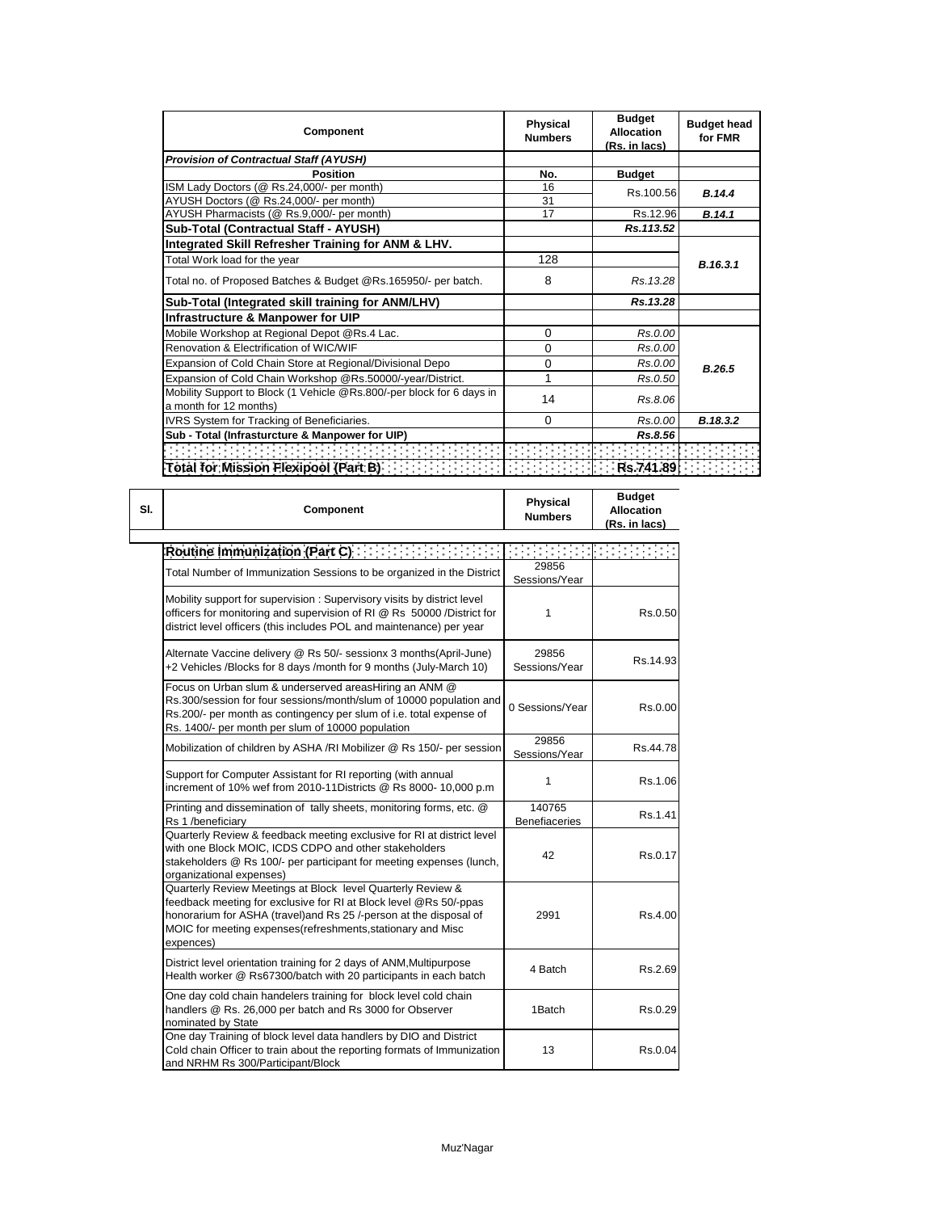| Component                                                                                       | <b>Physical</b><br><b>Numbers</b> | <b>Budget</b><br>Allocation<br>(Rs. in lacs) | <b>Budget head</b><br>for FMR |  |
|-------------------------------------------------------------------------------------------------|-----------------------------------|----------------------------------------------|-------------------------------|--|
| <b>Provision of Contractual Staff (AYUSH)</b>                                                   |                                   |                                              |                               |  |
| <b>Position</b>                                                                                 | No.                               | <b>Budget</b>                                |                               |  |
| ISM Lady Doctors (@ Rs.24,000/- per month)                                                      | 16                                | Rs.100.56                                    | B.14.4                        |  |
| AYUSH Doctors (@ Rs.24,000/- per month)                                                         | 31                                |                                              |                               |  |
| AYUSH Pharmacists (@ Rs.9,000/- per month)                                                      | 17                                | Rs.12.96                                     | B.14.1                        |  |
| Sub-Total (Contractual Staff - AYUSH)                                                           |                                   | Rs.113.52                                    |                               |  |
| Integrated Skill Refresher Training for ANM & LHV.                                              |                                   |                                              |                               |  |
| Total Work load for the year                                                                    | 128                               |                                              | B.16.3.1                      |  |
| Total no. of Proposed Batches & Budget @Rs.165950/- per batch.                                  | 8                                 | Rs. 13.28                                    |                               |  |
| Sub-Total (Integrated skill training for ANM/LHV)                                               |                                   | Rs.13.28                                     |                               |  |
| Infrastructure & Manpower for UIP                                                               |                                   |                                              |                               |  |
| Mobile Workshop at Regional Depot @Rs.4 Lac.                                                    | 0                                 | Rs.0.00                                      |                               |  |
| Renovation & Electrification of WIC/WIF                                                         | 0                                 | Rs.0.00                                      |                               |  |
| Expansion of Cold Chain Store at Regional/Divisional Depo                                       | 0                                 | Rs.0.00                                      | B.26.5                        |  |
| Expansion of Cold Chain Workshop @Rs.50000/-year/District.                                      |                                   | Rs.0.50                                      |                               |  |
| Mobility Support to Block (1 Vehicle @Rs.800/-per block for 6 days in<br>a month for 12 months) | 14                                | Rs.8.06                                      |                               |  |
| IVRS System for Tracking of Beneficiaries.                                                      | 0                                 | Rs.0.00                                      | B.18.3.2                      |  |
| Sub - Total (Infrasturcture & Manpower for UIP)                                                 |                                   | Rs.8.56                                      |                               |  |
|                                                                                                 |                                   |                                              |                               |  |
| Total for Mission Flexipool (Part B)                                                            |                                   | Rs.741.89                                    |                               |  |

**Budget** 

 $\overline{\phantom{a}}$ 

| <b>Component</b>                                                                                                                                                                                                                                                                   | Physical<br><b>Numbers</b>     | mander<br><b>Allocation</b><br>(Rs. in lacs) |
|------------------------------------------------------------------------------------------------------------------------------------------------------------------------------------------------------------------------------------------------------------------------------------|--------------------------------|----------------------------------------------|
| Routine Immunization (Part C)                                                                                                                                                                                                                                                      |                                |                                              |
| Total Number of Immunization Sessions to be organized in the District                                                                                                                                                                                                              | 29856<br>Sessions/Year         |                                              |
| Mobility support for supervision: Supervisory visits by district level<br>officers for monitoring and supervision of RI @ Rs 50000 /District for<br>district level officers (this includes POL and maintenance) per year                                                           | 1                              | Rs.0.50                                      |
| Alternate Vaccine delivery @ Rs 50/- sessionx 3 months (April-June)<br>+2 Vehicles /Blocks for 8 days /month for 9 months (July-March 10)                                                                                                                                          | 29856<br>Sessions/Year         | Rs.14.93                                     |
| Focus on Urban slum & underserved areasHiring an ANM @<br>Rs.300/session for four sessions/month/slum of 10000 population and<br>Rs.200/- per month as contingency per slum of i.e. total expense of<br>Rs. 1400/- per month per slum of 10000 population                          | 0 Sessions/Year                | Rs.0.00                                      |
| Mobilization of children by ASHA /RI Mobilizer @ Rs 150/- per session                                                                                                                                                                                                              | 29856<br>Sessions/Year         | Rs.44.78                                     |
| Support for Computer Assistant for RI reporting (with annual<br>increment of 10% wef from 2010-11Districts @ Rs 8000-10,000 p.m                                                                                                                                                    | 1                              | Rs.1.06                                      |
| Printing and dissemination of tally sheets, monitoring forms, etc. @<br>Rs 1 /beneficiary                                                                                                                                                                                          | 140765<br><b>Benefiaceries</b> | Rs.1.41                                      |
| Quarterly Review & feedback meeting exclusive for RI at district level<br>with one Block MOIC, ICDS CDPO and other stakeholders<br>stakeholders @ Rs 100/- per participant for meeting expenses (lunch,<br>organizational expenses)                                                | 42                             | Rs.0.17                                      |
| Quarterly Review Meetings at Block level Quarterly Review &<br>feedback meeting for exclusive for RI at Block level @Rs 50/-ppas<br>honorarium for ASHA (travel) and Rs 25 /-person at the disposal of<br>MOIC for meeting expenses(refreshments, stationary and Misc<br>expences) | 2991                           | Rs.4.00                                      |
| District level orientation training for 2 days of ANM, Multipurpose<br>Health worker @ Rs67300/batch with 20 participants in each batch                                                                                                                                            | 4 Batch                        | Rs.2.69                                      |
| One day cold chain handelers training for block level cold chain<br>handlers @ Rs. 26,000 per batch and Rs 3000 for Observer<br>nominated by State                                                                                                                                 | 1Batch                         | Rs.0.29                                      |
| One day Training of block level data handlers by DIO and District<br>Cold chain Officer to train about the reporting formats of Immunization<br>and NRHM Rs 300/Participant/Block                                                                                                  | 13                             | Rs.0.04                                      |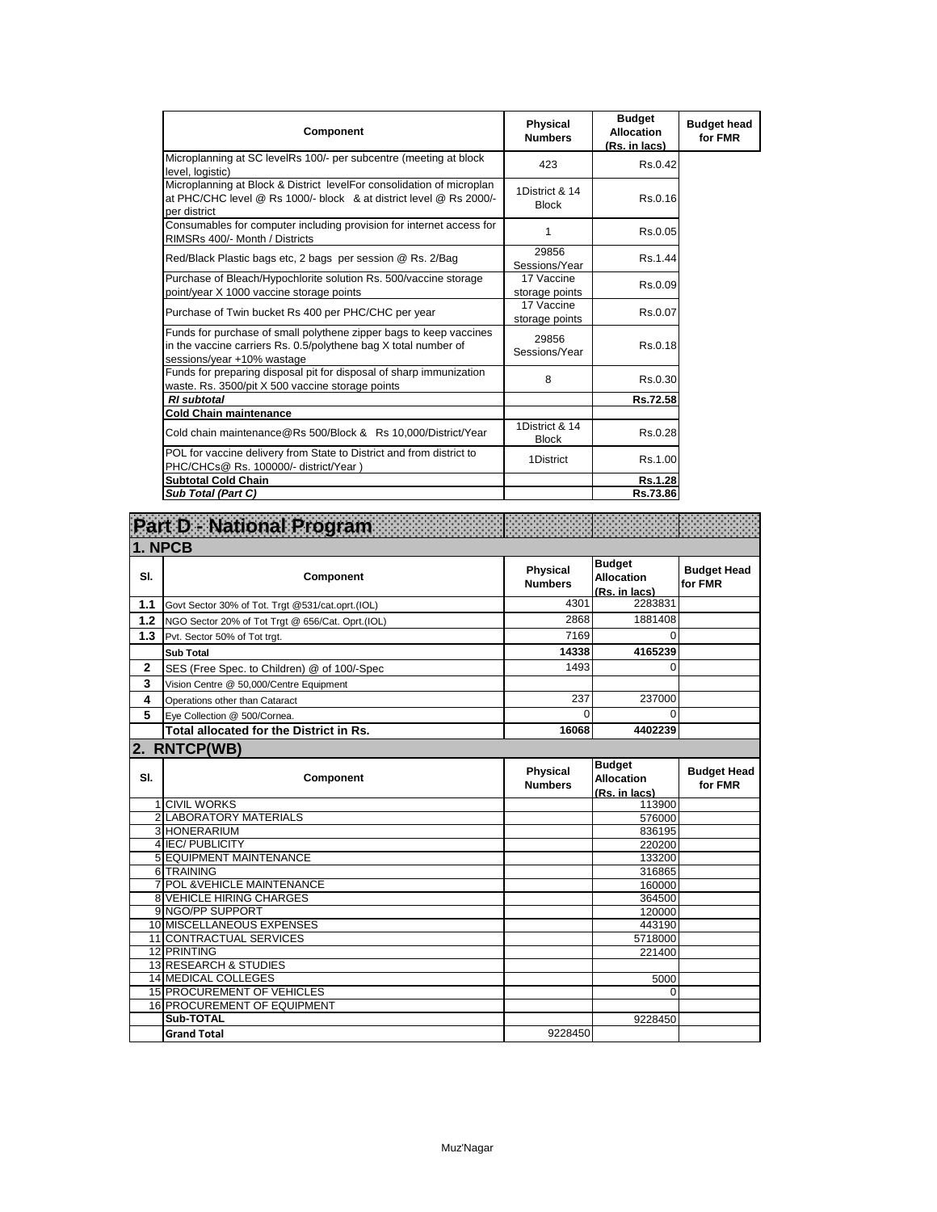| Component                                                                                                                                                           | <b>Physical</b><br><b>Numbers</b> | <b>Budget</b><br><b>Allocation</b><br>(Rs. in lacs) | <b>Budget head</b><br>for FMR |
|---------------------------------------------------------------------------------------------------------------------------------------------------------------------|-----------------------------------|-----------------------------------------------------|-------------------------------|
| Microplanning at SC levelRs 100/- per subcentre (meeting at block<br>level. logistic)                                                                               | 423                               | Rs.0.42                                             |                               |
| Microplanning at Block & District levelFor consolidation of microplan<br>at PHC/CHC level @ Rs 1000/- block & at district level @ Rs 2000/-<br>per district         | 1District & 14<br><b>Block</b>    | Rs.0.16                                             |                               |
| Consumables for computer including provision for internet access for<br>RIMSRs 400/- Month / Districts                                                              | 1                                 | Rs.0.05                                             |                               |
| Red/Black Plastic bags etc, 2 bags per session @ Rs. 2/Bag                                                                                                          | 29856<br>Sessions/Year            | Rs.1.44                                             |                               |
| Purchase of Bleach/Hypochlorite solution Rs. 500/vaccine storage<br>point/year X 1000 vaccine storage points                                                        | 17 Vaccine<br>storage points      | Rs.0.09                                             |                               |
| Purchase of Twin bucket Rs 400 per PHC/CHC per year                                                                                                                 | 17 Vaccine<br>storage points      | Rs.0.07                                             |                               |
| Funds for purchase of small polythene zipper bags to keep vaccines<br>in the vaccine carriers Rs. 0.5/polythene bag X total number of<br>sessions/year +10% wastage | 29856<br>Sessions/Year            | Rs.0.18                                             |                               |
| Funds for preparing disposal pit for disposal of sharp immunization<br>waste. Rs. 3500/pit X 500 vaccine storage points                                             | 8                                 | Rs.0.30                                             |                               |
| <b>RI</b> subtotal                                                                                                                                                  |                                   | Rs.72.58                                            |                               |
| <b>Cold Chain maintenance</b>                                                                                                                                       |                                   |                                                     |                               |
| Cold chain maintenance@Rs 500/Block & Rs 10,000/District/Year                                                                                                       | 1District & 14<br><b>Block</b>    | Rs.0.28                                             |                               |
| POL for vaccine delivery from State to District and from district to<br>PHC/CHCs@ Rs. 100000/- district/Year)                                                       | 1District                         | Rs.1.00                                             |                               |
| <b>Subtotal Cold Chain</b>                                                                                                                                          |                                   | Rs.1.28                                             |                               |
| Sub Total (Part C)                                                                                                                                                  |                                   | Rs.73.86                                            |                               |

|                         | Part D - National Program                        |                                   |                                                     |                               |
|-------------------------|--------------------------------------------------|-----------------------------------|-----------------------------------------------------|-------------------------------|
| 1. NPCB                 |                                                  |                                   |                                                     |                               |
| SI.                     | Component                                        | <b>Physical</b><br><b>Numbers</b> | <b>Budget</b><br><b>Allocation</b><br>(Rs. in lacs) | <b>Budget Head</b><br>for FMR |
| 1.1                     | Govt Sector 30% of Tot. Trgt @531/cat.oprt.(IOL) | 4301                              | 2283831                                             |                               |
| 1.2                     | NGO Sector 20% of Tot Trgt @ 656/Cat. Oprt.(IOL) | 2868                              | 1881408                                             |                               |
| 1.3                     | Pvt. Sector 50% of Tot trgt.                     | 7169                              | $\Omega$                                            |                               |
|                         | <b>Sub Total</b>                                 | 14338                             | 4165239                                             |                               |
| $\mathbf{2}$            | SES (Free Spec. to Children) @ of 100/-Spec      | 1493                              | $\Omega$                                            |                               |
| 3                       | Vision Centre @ 50,000/Centre Equipment          |                                   |                                                     |                               |
| $\overline{\mathbf{4}}$ | Operations other than Cataract                   | 237                               | 237000                                              |                               |
| 5                       | Eye Collection @ 500/Cornea.                     | $\Omega$                          | 0                                                   |                               |
|                         | Total allocated for the District in Rs.          | 16068                             | 4402239                                             |                               |
|                         | 2. RNTCP(WB)                                     |                                   |                                                     |                               |
| SI.                     | Component                                        | Physical<br><b>Numbers</b>        | <b>Budget</b><br><b>Allocation</b><br>(Rs. in lacs) | <b>Budget Head</b><br>for FMR |
|                         | <b>1 CIVIL WORKS</b>                             |                                   | 113900                                              |                               |
|                         | <b>2 LABORATORY MATERIALS</b>                    |                                   | 576000                                              |                               |
|                         | 3 HONERARIUM                                     |                                   | 836195                                              |                               |
|                         | 4 IEC/PUBLICITY                                  |                                   | 220200                                              |                               |
|                         | <b>5 EQUIPMENT MAINTENANCE</b><br>6 TRAINING     |                                   | 133200                                              |                               |
|                         | 7 POL & VEHICLE MAINTENANCE                      |                                   | 316865<br>160000                                    |                               |
|                         | <b>8 VEHICLE HIRING CHARGES</b>                  |                                   | 364500                                              |                               |
|                         | 9 NGO/PP SUPPORT                                 |                                   | 120000                                              |                               |
|                         | 10 MISCELLANEOUS EXPENSES                        |                                   | 443190                                              |                               |
|                         | 11 CONTRACTUAL SERVICES                          |                                   | 5718000                                             |                               |
|                         | 12 PRINTING                                      |                                   | 221400                                              |                               |
|                         | 13 RESEARCH & STUDIES                            |                                   |                                                     |                               |
|                         | <b>14 MEDICAL COLLEGES</b>                       |                                   | 5000                                                |                               |
|                         | <b>15 PROCUREMENT OF VEHICLES</b>                |                                   | 0                                                   |                               |
|                         | <b>16 PROCUREMENT OF EQUIPMENT</b>               |                                   |                                                     |                               |
|                         | Sub-TOTAL                                        |                                   | 9228450                                             |                               |
|                         |                                                  | 9228450                           |                                                     |                               |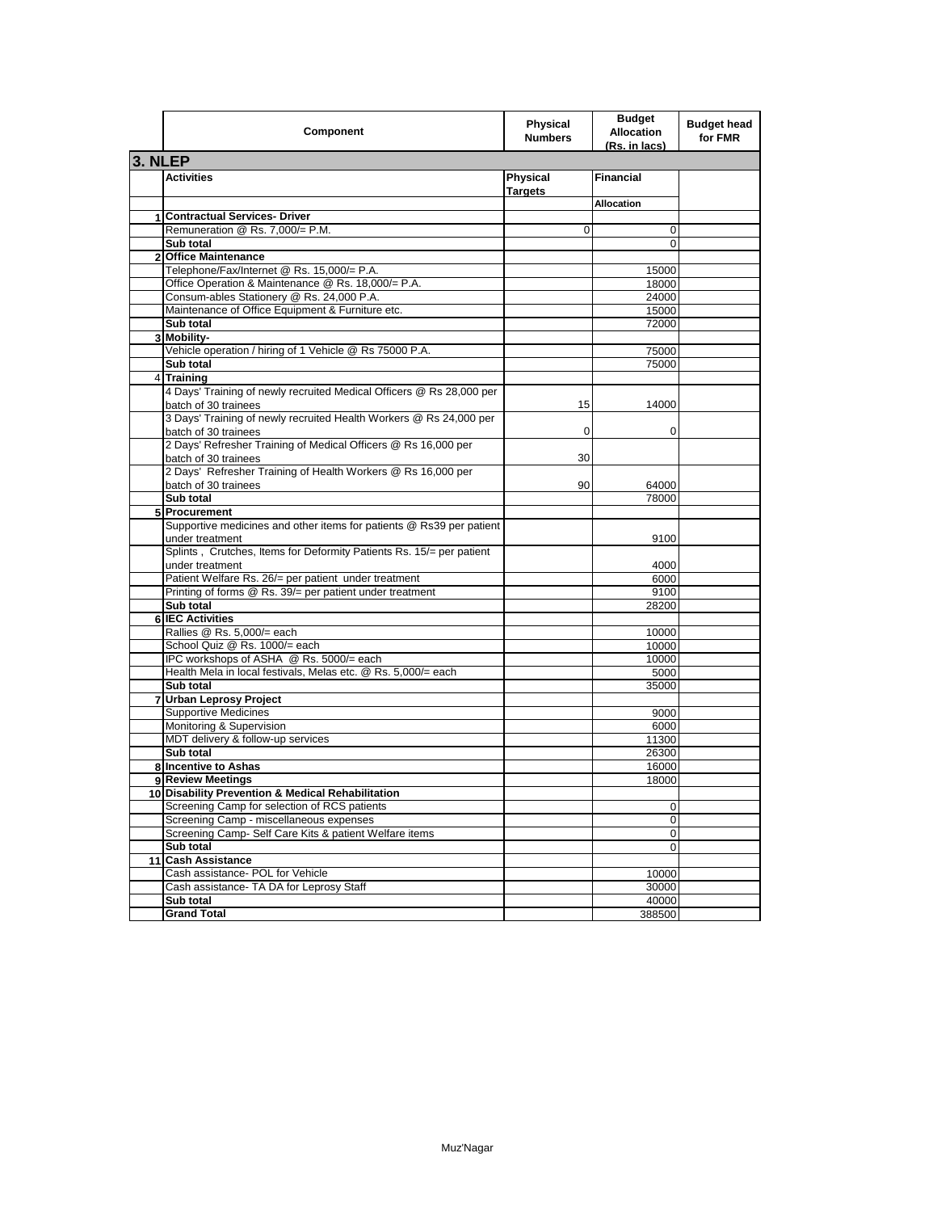|                | Component                                                                                    | <b>Physical</b><br><b>Numbers</b> | <b>Budget</b><br><b>Allocation</b><br>(Rs. in lacs) | <b>Budget head</b><br>for FMR |
|----------------|----------------------------------------------------------------------------------------------|-----------------------------------|-----------------------------------------------------|-------------------------------|
| 3. NLEP        |                                                                                              |                                   |                                                     |                               |
|                | <b>Activities</b>                                                                            | Physical<br><b>Targets</b>        | <b>Financial</b>                                    |                               |
|                |                                                                                              |                                   | <b>Allocation</b>                                   |                               |
|                | 1 Contractual Services- Driver                                                               |                                   |                                                     |                               |
|                | Remuneration @ Rs. 7,000/= P.M.                                                              | 0                                 | 0                                                   |                               |
|                | Sub total                                                                                    |                                   | 0                                                   |                               |
| $\overline{2}$ | <b>Office Maintenance</b>                                                                    |                                   |                                                     |                               |
|                | Telephone/Fax/Internet @ Rs. 15,000/= P.A.                                                   |                                   | 15000                                               |                               |
|                | Office Operation & Maintenance @ Rs. 18,000/= P.A.                                           |                                   | 18000                                               |                               |
|                | Consum-ables Stationery @ Rs. 24,000 P.A.                                                    |                                   | 24000                                               |                               |
|                | Maintenance of Office Equipment & Furniture etc.                                             |                                   | 15000                                               |                               |
|                | Sub total                                                                                    |                                   | 72000                                               |                               |
|                | 3 Mobility-                                                                                  |                                   |                                                     |                               |
|                | Vehicle operation / hiring of 1 Vehicle @ Rs 75000 P.A.                                      |                                   | 75000                                               |                               |
|                | Sub total                                                                                    |                                   | 75000                                               |                               |
|                | 4 Training                                                                                   |                                   |                                                     |                               |
|                | 4 Days' Training of newly recruited Medical Officers @ Rs 28,000 per<br>batch of 30 trainees | 15                                | 14000                                               |                               |
|                | 3 Days' Training of newly recruited Health Workers @ Rs 24,000 per<br>batch of 30 trainees   | $\mathbf 0$                       | 0                                                   |                               |
|                | 2 Days' Refresher Training of Medical Officers @ Rs 16,000 per<br>batch of 30 trainees       | 30                                |                                                     |                               |
|                | 2 Days' Refresher Training of Health Workers @ Rs 16,000 per<br>batch of 30 trainees         | 90                                | 64000                                               |                               |
|                | Sub total                                                                                    |                                   | 78000                                               |                               |
|                | 5 Procurement                                                                                |                                   |                                                     |                               |
|                | Supportive medicines and other items for patients @ Rs39 per patient                         |                                   |                                                     |                               |
|                | under treatment                                                                              |                                   | 9100                                                |                               |
|                | Splints, Crutches, Items for Deformity Patients Rs. 15/= per patient                         |                                   |                                                     |                               |
|                | under treatment                                                                              |                                   | 4000                                                |                               |
|                | Patient Welfare Rs. 26/= per patient under treatment                                         |                                   | 6000                                                |                               |
|                | Printing of forms @ Rs. 39/= per patient under treatment                                     |                                   | 9100                                                |                               |
|                | Sub total                                                                                    |                                   | 28200                                               |                               |
|                | 6 IEC Activities                                                                             |                                   |                                                     |                               |
|                | Rallies @ Rs. 5,000/= each                                                                   |                                   | 10000                                               |                               |
|                | School Quiz @ Rs. 1000/= each                                                                |                                   | 10000                                               |                               |
|                | IPC workshops of ASHA @ Rs. 5000/= each                                                      |                                   | 10000                                               |                               |
|                | Health Mela in local festivals, Melas etc. @ Rs. 5,000/= each                                |                                   | 5000                                                |                               |
|                | Sub total                                                                                    |                                   | 35000                                               |                               |
| 7              | <b>Urban Leprosy Project</b>                                                                 |                                   |                                                     |                               |
|                | <b>Supportive Medicines</b>                                                                  |                                   | 9000                                                |                               |
|                | Monitoring & Supervision                                                                     |                                   | 6000                                                |                               |
|                | MDT delivery & follow-up services                                                            |                                   | 11300                                               |                               |
|                | Sub total                                                                                    |                                   | 26300                                               |                               |
|                | 8 Incentive to Ashas                                                                         |                                   | 16000                                               |                               |
|                | 9 Review Meetings                                                                            |                                   | 18000                                               |                               |
|                | 10 Disability Prevention & Medical Rehabilitation                                            |                                   |                                                     |                               |
|                | Screening Camp for selection of RCS patients                                                 |                                   | 0                                                   |                               |
|                | Screening Camp - miscellaneous expenses                                                      |                                   | 0                                                   |                               |
|                | Screening Camp- Self Care Kits & patient Welfare items                                       |                                   | 0                                                   |                               |
|                | Sub total                                                                                    |                                   | 0                                                   |                               |
|                | 11 Cash Assistance                                                                           |                                   |                                                     |                               |
|                | Cash assistance- POL for Vehicle                                                             |                                   | 10000                                               |                               |
|                | Cash assistance- TA DA for Leprosy Staff                                                     |                                   | 30000                                               |                               |
|                | Sub total                                                                                    |                                   | 40000                                               |                               |
|                | <b>Grand Total</b>                                                                           |                                   | 388500                                              |                               |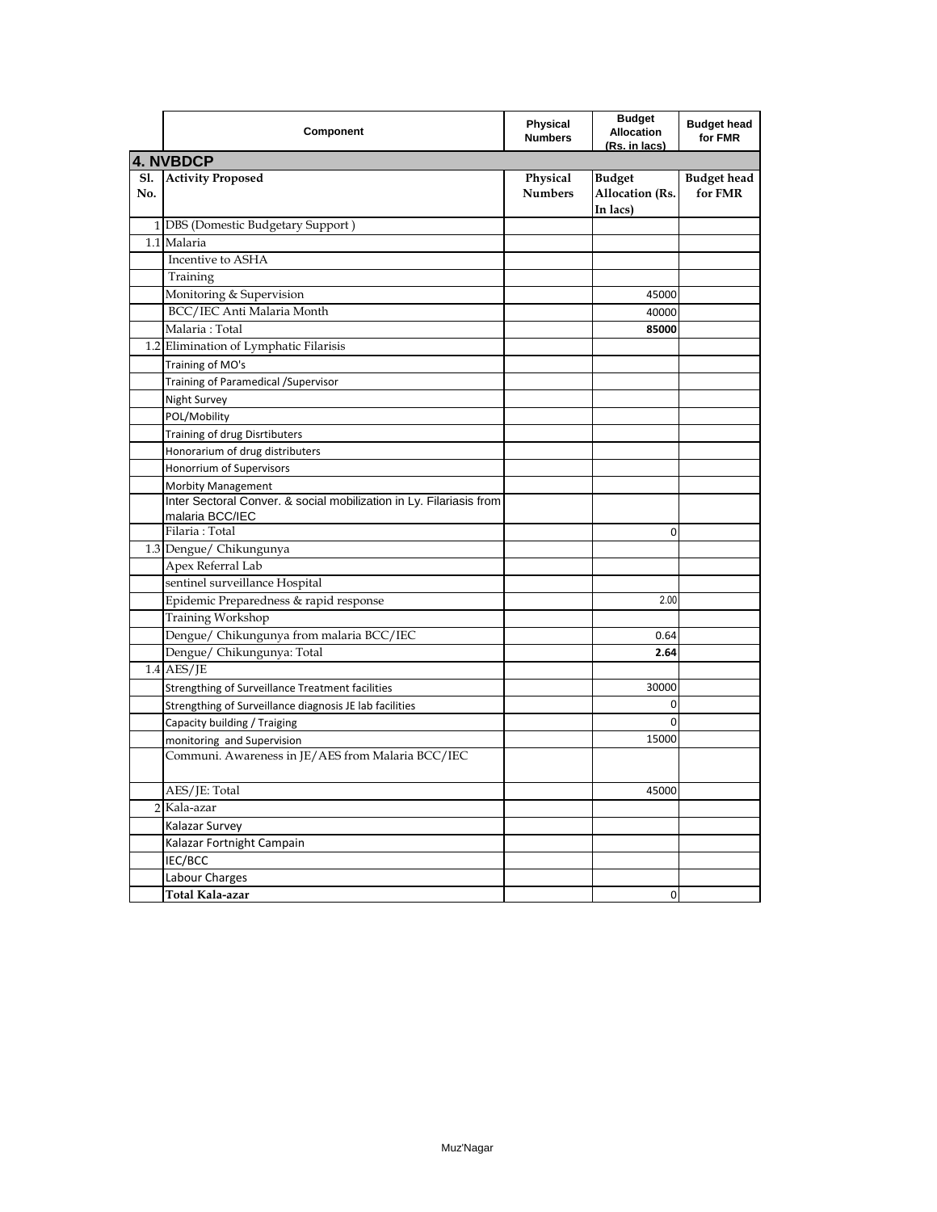|            | Component                                                                              | Physical<br><b>Numbers</b> | <b>Budget</b><br><b>Allocation</b><br>(Rs. in lacs) | <b>Budget head</b><br>for FMR |
|------------|----------------------------------------------------------------------------------------|----------------------------|-----------------------------------------------------|-------------------------------|
|            | <b>4. NVBDCP</b>                                                                       |                            |                                                     |                               |
| S1.<br>No. | <b>Activity Proposed</b>                                                               | Physical<br><b>Numbers</b> | <b>Budget</b><br><b>Allocation</b> (Rs.<br>In lacs) | <b>Budget</b> head<br>for FMR |
|            | 1 DBS (Domestic Budgetary Support)                                                     |                            |                                                     |                               |
|            | 1.1 Malaria                                                                            |                            |                                                     |                               |
|            | Incentive to ASHA                                                                      |                            |                                                     |                               |
|            | Training                                                                               |                            |                                                     |                               |
|            | Monitoring & Supervision                                                               |                            | 45000                                               |                               |
|            | BCC/IEC Anti Malaria Month                                                             |                            | 40000                                               |                               |
|            | Malaria: Total                                                                         |                            | 85000                                               |                               |
|            | 1.2 Elimination of Lymphatic Filarisis                                                 |                            |                                                     |                               |
|            | Training of MO's                                                                       |                            |                                                     |                               |
|            | Training of Paramedical / Supervisor                                                   |                            |                                                     |                               |
|            | Night Survey                                                                           |                            |                                                     |                               |
|            | POL/Mobility                                                                           |                            |                                                     |                               |
|            | Training of drug Disrtibuters                                                          |                            |                                                     |                               |
|            | Honorarium of drug distributers                                                        |                            |                                                     |                               |
|            | Honorrium of Supervisors                                                               |                            |                                                     |                               |
|            | Morbity Management                                                                     |                            |                                                     |                               |
|            | Inter Sectoral Conver. & social mobilization in Ly. Filariasis from<br>malaria BCC/IEC |                            |                                                     |                               |
|            | Filaria: Total                                                                         |                            | 0                                                   |                               |
|            | 1.3 Dengue/ Chikungunya                                                                |                            |                                                     |                               |
|            | Apex Referral Lab                                                                      |                            |                                                     |                               |
|            | sentinel surveillance Hospital                                                         |                            |                                                     |                               |
|            | Epidemic Preparedness & rapid response                                                 |                            | 2.00                                                |                               |
|            | Training Workshop                                                                      |                            |                                                     |                               |
|            | Dengue/ Chikungunya from malaria BCC/IEC                                               |                            | 0.64                                                |                               |
|            | Dengue/ Chikungunya: Total                                                             |                            | 2.64                                                |                               |
|            | $1.4$ AES/JE                                                                           |                            |                                                     |                               |
|            | Strengthing of Surveillance Treatment facilities                                       |                            | 30000                                               |                               |
|            | Strengthing of Surveillance diagnosis JE lab facilities                                |                            | 0                                                   |                               |
|            | Capacity building / Traiging                                                           |                            | 0                                                   |                               |
|            | monitoring and Supervision                                                             |                            | 15000                                               |                               |
|            | Communi. Awareness in JE/AES from Malaria BCC/IEC                                      |                            |                                                     |                               |
|            | AES/JE: Total                                                                          |                            | 45000                                               |                               |
|            | 2 Kala-azar                                                                            |                            |                                                     |                               |
|            | Kalazar Survey                                                                         |                            |                                                     |                               |
|            | Kalazar Fortnight Campain                                                              |                            |                                                     |                               |
|            | IEC/BCC                                                                                |                            |                                                     |                               |
|            | Labour Charges                                                                         |                            |                                                     |                               |
|            | Total Kala-azar                                                                        |                            | 0                                                   |                               |